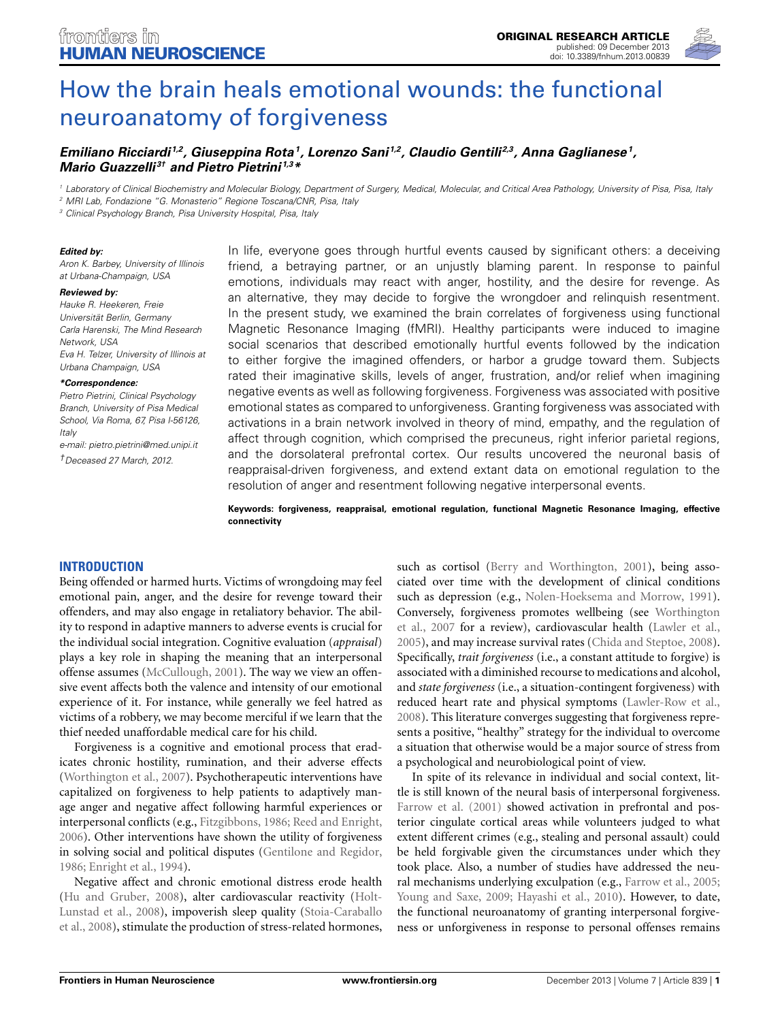

# [How the brain heals emotional wounds: the functional](http://www.frontiersin.org/journal/10.3389/fnhum.2013.00839/abstract) neuroanatomy of forgiveness

## *[Emiliano Ricciardi](http://www.frontiersin.org/people/u/18377) 1,2, [Giuseppina Rota](http://www.frontiersin.org/people/u/28648)1, [Lorenzo Sani](http://www.frontiersin.org/people/u/18415) 1,2, [Claudio Gentili](http://www.frontiersin.org/people/u/18378) 2,3, [Anna Gaglianese](http://www.frontiersin.org/people/u/84063)1, [Mario Guazzelli](http://www.frontiersin.org/people/u/18380) 3† and [Pietro Pietrini](http://www.frontiersin.org/people/u/11007) 1,3\**

*<sup>1</sup> Laboratory of Clinical Biochemistry and Molecular Biology, Department of Surgery, Medical, Molecular, and Critical Area Pathology, University of Pisa, Pisa, Italy*

*<sup>2</sup> MRI Lab, Fondazione "G. Monasterio" Regione Toscana/CNR, Pisa, Italy*

*<sup>3</sup> Clinical Psychology Branch, Pisa University Hospital, Pisa, Italy*

#### *Edited by:*

*Aron K. Barbey, University of Illinois at Urbana-Champaign, USA*

#### *Reviewed by:*

*Hauke R. Heekeren, Freie Universität Berlin, Germany Carla Harenski, The Mind Research Network, USA Eva H. Telzer, University of Illinois at Urbana Champaign, USA*

*\*Correspondence:*

*Pietro Pietrini, Clinical Psychology Branch, University of Pisa Medical School, Via Roma, 67, Pisa I-56126, Italy*

*e-mail: [pietro.pietrini@med.unipi.it](mailto:pietro.pietrini@med.unipi.it) †Deceased 27 March, 2012.*

In life, everyone goes through hurtful events caused by significant others: a deceiving friend, a betraying partner, or an unjustly blaming parent. In response to painful emotions, individuals may react with anger, hostility, and the desire for revenge. As an alternative, they may decide to forgive the wrongdoer and relinquish resentment. In the present study, we examined the brain correlates of forgiveness using functional Magnetic Resonance Imaging (fMRI). Healthy participants were induced to imagine social scenarios that described emotionally hurtful events followed by the indication to either forgive the imagined offenders, or harbor a grudge toward them. Subjects rated their imaginative skills, levels of anger, frustration, and/or relief when imagining negative events as well as following forgiveness. Forgiveness was associated with positive emotional states as compared to unforgiveness. Granting forgiveness was associated with activations in a brain network involved in theory of mind, empathy, and the regulation of affect through cognition, which comprised the precuneus, right inferior parietal regions, and the dorsolateral prefrontal cortex. Our results uncovered the neuronal basis of reappraisal-driven forgiveness, and extend extant data on emotional regulation to the resolution of anger and resentment following negative interpersonal events.

**Keywords: forgiveness, reappraisal, emotional regulation, functional Magnetic Resonance Imaging, effective connectivity**

#### **INTRODUCTION**

Being offended or harmed hurts. Victims of wrongdoing may feel emotional pain, anger, and the desire for revenge toward their offenders, and may also engage in retaliatory behavior. The ability to respond in adaptive manners to adverse events is crucial for the individual social integration. Cognitive evaluation (*appraisal*) plays a key role in shaping the meaning that an interpersonal offense assumes [\(McCullough](#page-7-0), [2001](#page-7-0)). The way we view an offensive event affects both the valence and intensity of our emotional experience of it. For instance, while generally we feel hatred as victims of a robbery, we may become merciful if we learn that the thief needed unaffordable medical care for his child.

Forgiveness is a cognitive and emotional process that eradicates chronic hostility, rumination, and their adverse effects [\(Worthington et al., 2007\)](#page-8-0). Psychotherapeutic interventions have capitalized on forgiveness to help patients to adaptively manage anger and negative affect following harmful experiences or interpersonal conflicts (e.g., [Fitzgibbons, 1986](#page-7-1); [Reed and Enright,](#page-7-2) [2006](#page-7-2)). Other interventions have shown the utility of forgiveness in solving social and political disputes [\(Gentilone and Regidor,](#page-7-3) [1986](#page-7-3); [Enright et al.](#page-7-4), [1994\)](#page-7-4).

Negative affect and chronic emotional distress erode health [\(Hu and Gruber](#page-7-5)[,](#page-7-6) [2008](#page-7-5)[\), alter cardiovascular reactivity \(](#page-7-6)Holt-Lun[stad et al.,](#page-7-7) [2008](#page-7-6)[\), impoverish sleep quality \(](#page-7-7)Stoia-Caraballo et al., [2008\)](#page-7-7), stimulate the production of stress-related hormones,

such as cortisol [\(Berry and Worthington, 2001](#page-7-8)), being associated over time with the development of clinical conditions such as depression (e.g., [Nolen-Hoeksema and Morrow](#page-7-9), [1991](#page-7-9)). Con[versely, forgiveness promotes wellbeing \(see](#page-8-0) Worthington et al., [2007](#page-8-0) for a review), cardiovascular health [\(Lawler et al.,](#page-7-10) [2005](#page-7-10)), and may increase survival rates [\(Chida and Steptoe](#page-7-11), [2008](#page-7-11)). Specifically, *trait forgiveness* (i.e., a constant attitude to forgive) is associated with a diminished recourse to medications and alcohol, and *state forgiveness* (i.e., a situation-contingent forgiveness) with reduced heart rate and physical symptoms [\(Lawler-Row et al.,](#page-7-12) [2008](#page-7-12)). This literature converges suggesting that forgiveness represents a positive, "healthy" strategy for the individual to overcome a situation that otherwise would be a major source of stress from a psychological and neurobiological point of view.

In spite of its relevance in individual and social context, little is still known of the neural basis of interpersonal forgiveness. [Farrow et al.](#page-7-13) [\(2001\)](#page-7-13) showed activation in prefrontal and posterior cingulate cortical areas while volunteers judged to what extent different crimes (e.g., stealing and personal assault) could be held forgivable given the circumstances under which they took place. Also, a number of studies have addressed the neural mechanisms underlying exculpation (e.g., [Farrow et al., 2005;](#page-7-14) [Young and Saxe](#page-8-1), [2009](#page-8-1); [Hayashi et al.](#page-7-15), [2010\)](#page-7-15). However, to date, the functional neuroanatomy of granting interpersonal forgiveness or unforgiveness in response to personal offenses remains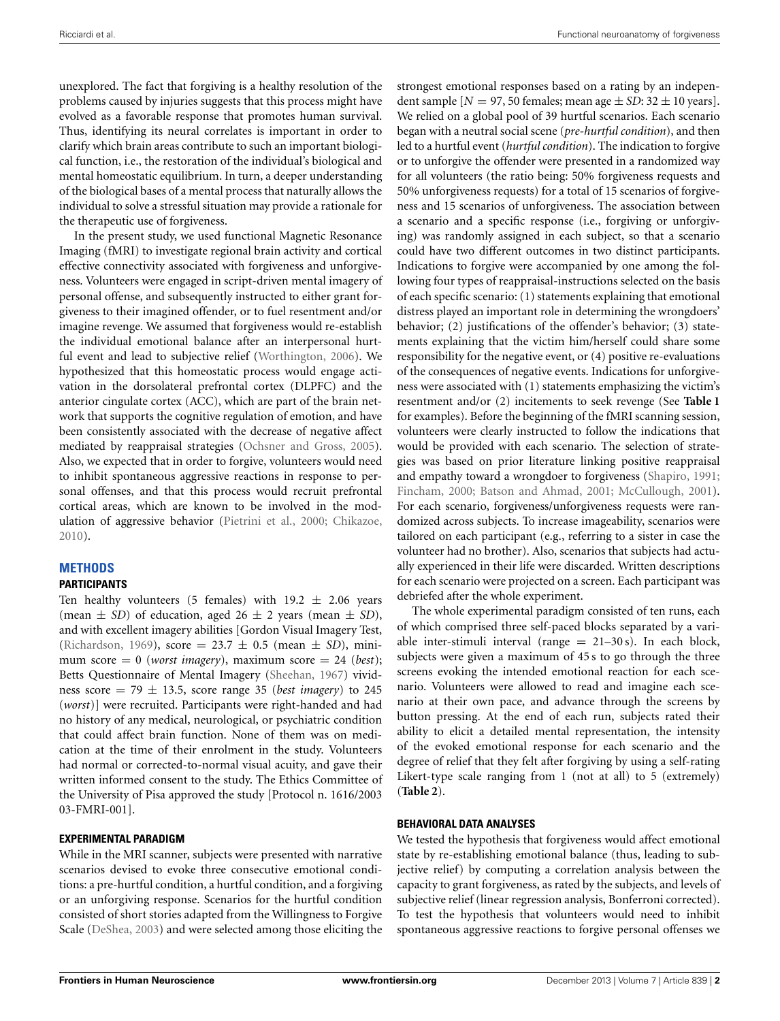unexplored. The fact that forgiving is a healthy resolution of the problems caused by injuries suggests that this process might have evolved as a favorable response that promotes human survival. Thus, identifying its neural correlates is important in order to clarify which brain areas contribute to such an important biological function, i.e., the restoration of the individual's biological and mental homeostatic equilibrium. In turn, a deeper understanding of the biological bases of a mental process that naturally allows the individual to solve a stressful situation may provide a rationale for the therapeutic use of forgiveness.

In the present study, we used functional Magnetic Resonance Imaging (fMRI) to investigate regional brain activity and cortical effective connectivity associated with forgiveness and unforgiveness. Volunteers were engaged in script-driven mental imagery of personal offense, and subsequently instructed to either grant forgiveness to their imagined offender, or to fuel resentment and/or imagine revenge. We assumed that forgiveness would re-establish the individual emotional balance after an interpersonal hurtful event and lead to subjective relief [\(Worthington, 2006\)](#page-8-2). We hypothesized that this homeostatic process would engage activation in the dorsolateral prefrontal cortex (DLPFC) and the anterior cingulate cortex (ACC), which are part of the brain network that supports the cognitive regulation of emotion, and have been consistently associated with the decrease of negative affect mediated by reappraisal strategies [\(Ochsner and Gross, 2005](#page-7-16)). Also, we expected that in order to forgive, volunteers would need to inhibit spontaneous aggressive reactions in response to personal offenses, and that this process would recruit prefrontal cortical areas, which are known to be involved in the modulation of aggressive behavior [\(Pietrini et al.](#page-7-17), [2000;](#page-7-17) [Chikazoe,](#page-7-18) [2010](#page-7-18)).

## **METHODS**

## **PARTICIPANTS**

Ten healthy volunteers (5 females) with  $19.2 \pm 2.06$  years (mean  $\pm$  *SD*) of education, aged 26  $\pm$  2 years (mean  $\pm$  *SD*), and with excellent imagery abilities [Gordon Visual Imagery Test, [\(Richardson](#page-7-19), [1969\)](#page-7-19), score = 23.7 ± 0.5 (mean ± *SD*), minimum score  $= 0$  (*worst imagery*), maximum score  $= 24$  (*best*); Betts Questionnaire of Mental Imagery [\(Sheehan](#page-7-20), [1967](#page-7-20)) vividness score  $= 79 \pm 13.5$ , score range 35 (*best imagery*) to 245 (*worst*)] were recruited. Participants were right-handed and had no history of any medical, neurological, or psychiatric condition that could affect brain function. None of them was on medication at the time of their enrolment in the study. Volunteers had normal or corrected-to-normal visual acuity, and gave their written informed consent to the study. The Ethics Committee of the University of Pisa approved the study [Protocol n. 1616/2003 03-FMRI-001].

## **EXPERIMENTAL PARADIGM**

While in the MRI scanner, subjects were presented with narrative scenarios devised to evoke three consecutive emotional conditions: a pre-hurtful condition, a hurtful condition, and a forgiving or an unforgiving response. Scenarios for the hurtful condition consisted of short stories adapted from the Willingness to Forgive Scale [\(DeShea, 2003](#page-7-21)) and were selected among those eliciting the

strongest emotional responses based on a rating by an independent sample  $[N = 97, 50$  females; mean age  $\pm SD$ : 32  $\pm 10$  years]. We relied on a global pool of 39 hurtful scenarios. Each scenario began with a neutral social scene (*pre-hurtful condition*), and then led to a hurtful event (*hurtful condition*). The indication to forgive or to unforgive the offender were presented in a randomized way for all volunteers (the ratio being: 50% forgiveness requests and 50% unforgiveness requests) for a total of 15 scenarios of forgiveness and 15 scenarios of unforgiveness. The association between a scenario and a specific response (i.e., forgiving or unforgiving) was randomly assigned in each subject, so that a scenario could have two different outcomes in two distinct participants. Indications to forgive were accompanied by one among the following four types of reappraisal-instructions selected on the basis of each specific scenario: (1) statements explaining that emotional distress played an important role in determining the wrongdoers' behavior; (2) justifications of the offender's behavior; (3) statements explaining that the victim him/herself could share some responsibility for the negative event, or (4) positive re-evaluations of the consequences of negative events. Indications for unforgiveness were associated with (1) statements emphasizing the victim's resentment and/or (2) incitements to seek revenge (See **[Table 1](#page-2-0)** for examples). Before the beginning of the fMRI scanning session, volunteers were clearly instructed to follow the indications that would be provided with each scenario. The selection of strategies was based on prior literature linking positive reappraisal and empathy toward a wrongdoer to forgiveness [\(Shapiro](#page-7-22), [1991](#page-7-22); [Fincham, 2000;](#page-7-23) [Batson and Ahmad](#page-7-24), [2001](#page-7-24); [McCullough, 2001\)](#page-7-0). For each scenario, forgiveness/unforgiveness requests were randomized across subjects. To increase imageability, scenarios were tailored on each participant (e.g., referring to a sister in case the volunteer had no brother). Also, scenarios that subjects had actually experienced in their life were discarded. Written descriptions for each scenario were projected on a screen. Each participant was debriefed after the whole experiment.

The whole experimental paradigm consisted of ten runs, each of which comprised three self-paced blocks separated by a variable inter-stimuli interval (range  $= 21-30$  s). In each block, subjects were given a maximum of 45 s to go through the three screens evoking the intended emotional reaction for each scenario. Volunteers were allowed to read and imagine each scenario at their own pace, and advance through the screens by button pressing. At the end of each run, subjects rated their ability to elicit a detailed mental representation, the intensity of the evoked emotional response for each scenario and the degree of relief that they felt after forgiving by using a self-rating Likert-type scale ranging from 1 (not at all) to 5 (extremely) (**[Table 2](#page-2-1)**).

## **BEHAVIORAL DATA ANALYSES**

We tested the hypothesis that forgiveness would affect emotional state by re-establishing emotional balance (thus, leading to subjective relief) by computing a correlation analysis between the capacity to grant forgiveness, as rated by the subjects, and levels of subjective relief (linear regression analysis, Bonferroni corrected). To test the hypothesis that volunteers would need to inhibit spontaneous aggressive reactions to forgive personal offenses we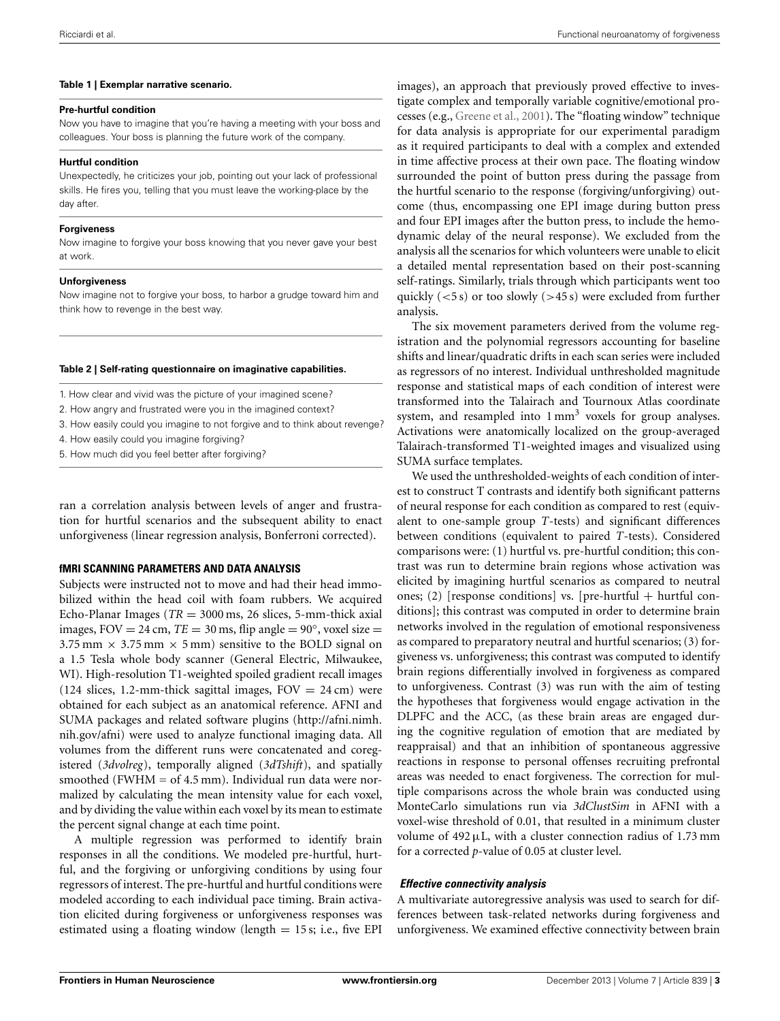#### <span id="page-2-0"></span>**Table 1 | Exemplar narrative scenario.**

#### **Pre-hurtful condition**

Now you have to imagine that you're having a meeting with your boss and colleagues. Your boss is planning the future work of the company.

#### **Hurtful condition**

Unexpectedly, he criticizes your job, pointing out your lack of professional skills. He fires you, telling that you must leave the working-place by the day after.

#### **Forgiveness**

Now imagine to forgive your boss knowing that you never gave your best at work.

#### **Unforgiveness**

Now imagine not to forgive your boss, to harbor a grudge toward him and think how to revenge in the best way.

#### <span id="page-2-1"></span>**Table 2 | Self-rating questionnaire on imaginative capabilities.**

1. How clear and vivid was the picture of your imagined scene?

2. How angry and frustrated were you in the imagined context?

3. How easily could you imagine to not forgive and to think about revenge?

4. How easily could you imagine forgiving?

5. How much did you feel better after forgiving?

ran a correlation analysis between levels of anger and frustration for hurtful scenarios and the subsequent ability to enact unforgiveness (linear regression analysis, Bonferroni corrected).

#### **fMRI SCANNING PARAMETERS AND DATA ANALYSIS**

Subjects were instructed not to move and had their head immobilized within the head coil with foam rubbers. We acquired Echo-Planar Images ( $TR = 3000$  ms, 26 slices, 5-mm-thick axial images, FOV = 24 cm,  $TE = 30$  ms, flip angle =  $90^{\circ}$ , voxel size =  $3.75$  mm  $\times$  3.75 mm  $\times$  5 mm) sensitive to the BOLD signal on a 1.5 Tesla whole body scanner (General Electric, Milwaukee, WI). High-resolution T1-weighted spoiled gradient recall images (124 slices, 1.2-mm-thick sagittal images,  $FOV = 24$  cm) were obtained for each subject as an anatomical reference. AFNI and SUMA packages and related software plugins [\(http://afni](http://afni.nimh.nih.gov/afni)*.*nimh*.* nih*.*[gov/afni\)](http://afni.nimh.nih.gov/afni) were used to analyze functional imaging data. All volumes from the different runs were concatenated and coregistered (*3dvolreg*), temporally aligned (*3dTshift*), and spatially smoothed (FWHM  $=$  of 4.5 mm). Individual run data were normalized by calculating the mean intensity value for each voxel, and by dividing the value within each voxel by its mean to estimate the percent signal change at each time point.

A multiple regression was performed to identify brain responses in all the conditions. We modeled pre-hurtful, hurtful, and the forgiving or unforgiving conditions by using four regressors of interest. The pre-hurtful and hurtful conditions were modeled according to each individual pace timing. Brain activation elicited during forgiveness or unforgiveness responses was estimated using a floating window (length  $= 15$  s; i.e., five EPI

images), an approach that previously proved effective to investigate complex and temporally variable cognitive/emotional processes (e.g., [Greene et al.](#page-7-25), [2001](#page-7-25)). The "floating window" technique for data analysis is appropriate for our experimental paradigm as it required participants to deal with a complex and extended in time affective process at their own pace. The floating window surrounded the point of button press during the passage from the hurtful scenario to the response (forgiving/unforgiving) outcome (thus, encompassing one EPI image during button press and four EPI images after the button press, to include the hemodynamic delay of the neural response). We excluded from the analysis all the scenarios for which volunteers were unable to elicit a detailed mental representation based on their post-scanning self-ratings. Similarly, trials through which participants went too quickly (*<*5 s) or too slowly (*>*45 s) were excluded from further analysis.

The six movement parameters derived from the volume registration and the polynomial regressors accounting for baseline shifts and linear/quadratic drifts in each scan series were included as regressors of no interest. Individual unthresholded magnitude response and statistical maps of each condition of interest were transformed into the Talairach and Tournoux Atlas coordinate system, and resampled into  $1 \text{ mm}^3$  voxels for group analyses. Activations were anatomically localized on the group-averaged Talairach-transformed T1-weighted images and visualized using SUMA surface templates.

We used the unthresholded-weights of each condition of interest to construct T contrasts and identify both significant patterns of neural response for each condition as compared to rest (equivalent to one-sample group *T*-tests) and significant differences between conditions (equivalent to paired *T*-tests). Considered comparisons were: (1) hurtful vs. pre-hurtful condition; this contrast was run to determine brain regions whose activation was elicited by imagining hurtful scenarios as compared to neutral ones; (2) [response conditions] vs. [pre-hurtful + hurtful conditions]; this contrast was computed in order to determine brain networks involved in the regulation of emotional responsiveness as compared to preparatory neutral and hurtful scenarios; (3) forgiveness vs. unforgiveness; this contrast was computed to identify brain regions differentially involved in forgiveness as compared to unforgiveness. Contrast (3) was run with the aim of testing the hypotheses that forgiveness would engage activation in the DLPFC and the ACC, (as these brain areas are engaged during the cognitive regulation of emotion that are mediated by reappraisal) and that an inhibition of spontaneous aggressive reactions in response to personal offenses recruiting prefrontal areas was needed to enact forgiveness. The correction for multiple comparisons across the whole brain was conducted using MonteCarlo simulations run via *3dClustSim* in AFNI with a voxel-wise threshold of 0.01, that resulted in a minimum cluster volume of  $492 \mu L$ , with a cluster connection radius of 1.73 mm for a corrected *p*-value of 0.05 at cluster level.

#### *Effective connectivity analysis*

A multivariate autoregressive analysis was used to search for differences between task-related networks during forgiveness and unforgiveness. We examined effective connectivity between brain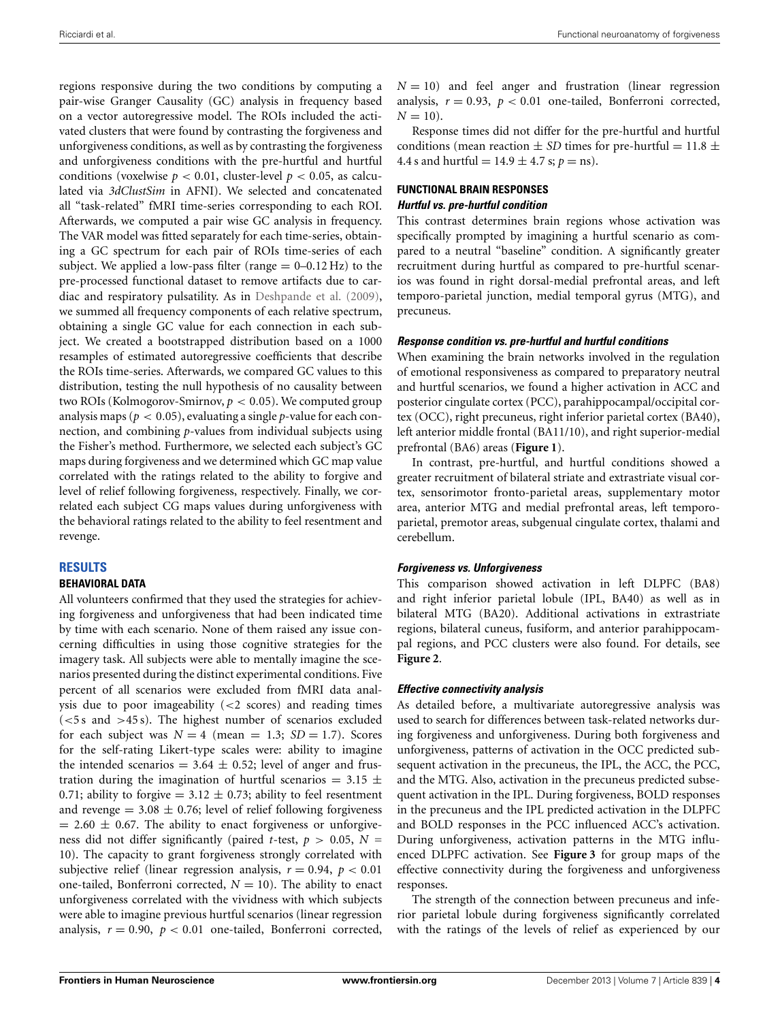regions responsive during the two conditions by computing a pair-wise Granger Causality (GC) analysis in frequency based on a vector autoregressive model. The ROIs included the activated clusters that were found by contrasting the forgiveness and unforgiveness conditions, as well as by contrasting the forgiveness and unforgiveness conditions with the pre-hurtful and hurtful conditions (voxelwise  $p < 0.01$ , cluster-level  $p < 0.05$ , as calculated via *3dClustSim* in AFNI). We selected and concatenated all "task-related" fMRI time-series corresponding to each ROI. Afterwards, we computed a pair wise GC analysis in frequency. The VAR model was fitted separately for each time-series, obtaining a GC spectrum for each pair of ROIs time-series of each subject. We applied a low-pass filter (range  $= 0-0.12 \text{ Hz}$ ) to the pre-processed functional dataset to remove artifacts due to cardiac and respiratory pulsatility. As in [Deshpande et al.](#page-7-26) [\(2009](#page-7-26)), we summed all frequency components of each relative spectrum, obtaining a single GC value for each connection in each subject. We created a bootstrapped distribution based on a 1000 resamples of estimated autoregressive coefficients that describe the ROIs time-series. Afterwards, we compared GC values to this distribution, testing the null hypothesis of no causality between two ROIs (Kolmogorov-Smirnov, *p <* 0*.*05). We computed group analysis maps ( $p < 0.05$ ), evaluating a single  $p$ -value for each connection, and combining *p*-values from individual subjects using the Fisher's method. Furthermore, we selected each subject's GC maps during forgiveness and we determined which GC map value correlated with the ratings related to the ability to forgive and level of relief following forgiveness, respectively. Finally, we correlated each subject CG maps values during unforgiveness with the behavioral ratings related to the ability to feel resentment and revenge.

#### **RESULTS**

#### **BEHAVIORAL DATA**

All volunteers confirmed that they used the strategies for achieving forgiveness and unforgiveness that had been indicated time by time with each scenario. None of them raised any issue concerning difficulties in using those cognitive strategies for the imagery task. All subjects were able to mentally imagine the scenarios presented during the distinct experimental conditions. Five percent of all scenarios were excluded from fMRI data analysis due to poor imageability (*<*2 scores) and reading times (*<*5 s and *>*45 s). The highest number of scenarios excluded for each subject was  $N = 4$  (mean = 1.3;  $SD = 1.7$ ). Scores for the self-rating Likert-type scales were: ability to imagine the intended scenarios =  $3.64 \pm 0.52$ ; level of anger and frustration during the imagination of hurtful scenarios =  $3.15 \pm$ 0.71; ability to forgive =  $3.12 \pm 0.73$ ; ability to feel resentment and revenge  $= 3.08 \pm 0.76$ ; level of relief following forgiveness  $= 2.60 \pm 0.67$ . The ability to enact forgiveness or unforgiveness did not differ significantly (paired *t*-test,  $p > 0.05$ ,  $N =$ 10). The capacity to grant forgiveness strongly correlated with subjective relief (linear regression analysis,  $r = 0.94$ ,  $p < 0.01$ one-tailed, Bonferroni corrected,  $N = 10$ ). The ability to enact unforgiveness correlated with the vividness with which subjects were able to imagine previous hurtful scenarios (linear regression analysis,  $r = 0.90$ ,  $p < 0.01$  one-tailed, Bonferroni corrected,  $N = 10$ ) and feel anger and frustration (linear regression analysis,  $r = 0.93$ ,  $p < 0.01$  one-tailed, Bonferroni corrected,  $N = 10$ .

Response times did not differ for the pre-hurtful and hurtful conditions (mean reaction  $\pm$  *SD* times for pre-hurtful = 11.8  $\pm$ 4.4 s and hurtful =  $14.9 \pm 4.7$  s;  $p =$ ns).

#### **FUNCTIONAL BRAIN RESPONSES** *Hurtful vs. pre-hurtful condition*

This contrast determines brain regions whose activation was specifically prompted by imagining a hurtful scenario as compared to a neutral "baseline" condition. A significantly greater recruitment during hurtful as compared to pre-hurtful scenarios was found in right dorsal-medial prefrontal areas, and left temporo-parietal junction, medial temporal gyrus (MTG), and precuneus.

#### *Response condition vs. pre-hurtful and hurtful conditions*

When examining the brain networks involved in the regulation of emotional responsiveness as compared to preparatory neutral and hurtful scenarios, we found a higher activation in ACC and posterior cingulate cortex (PCC), parahippocampal/occipital cortex (OCC), right precuneus, right inferior parietal cortex (BA40), left anterior middle frontal (BA11/10), and right superior-medial prefrontal (BA6) areas (**[Figure 1](#page-4-0)**).

In contrast, pre-hurtful, and hurtful conditions showed a greater recruitment of bilateral striate and extrastriate visual cortex, sensorimotor fronto-parietal areas, supplementary motor area, anterior MTG and medial prefrontal areas, left temporoparietal, premotor areas, subgenual cingulate cortex, thalami and cerebellum.

#### *Forgiveness vs. Unforgiveness*

This comparison showed activation in left DLPFC (BA8) and right inferior parietal lobule (IPL, BA40) as well as in bilateral MTG (BA20). Additional activations in extrastriate regions, bilateral cuneus, fusiform, and anterior parahippocampal regions, and PCC clusters were also found. For details, see **[Figure 2](#page-4-1)**.

#### *Effective connectivity analysis*

As detailed before, a multivariate autoregressive analysis was used to search for differences between task-related networks during forgiveness and unforgiveness. During both forgiveness and unforgiveness, patterns of activation in the OCC predicted subsequent activation in the precuneus, the IPL, the ACC, the PCC, and the MTG. Also, activation in the precuneus predicted subsequent activation in the IPL. During forgiveness, BOLD responses in the precuneus and the IPL predicted activation in the DLPFC and BOLD responses in the PCC influenced ACC's activation. During unforgiveness, activation patterns in the MTG influenced DLPFC activation. See **[Figure 3](#page-4-2)** for group maps of the effective connectivity during the forgiveness and unforgiveness responses.

The strength of the connection between precuneus and inferior parietal lobule during forgiveness significantly correlated with the ratings of the levels of relief as experienced by our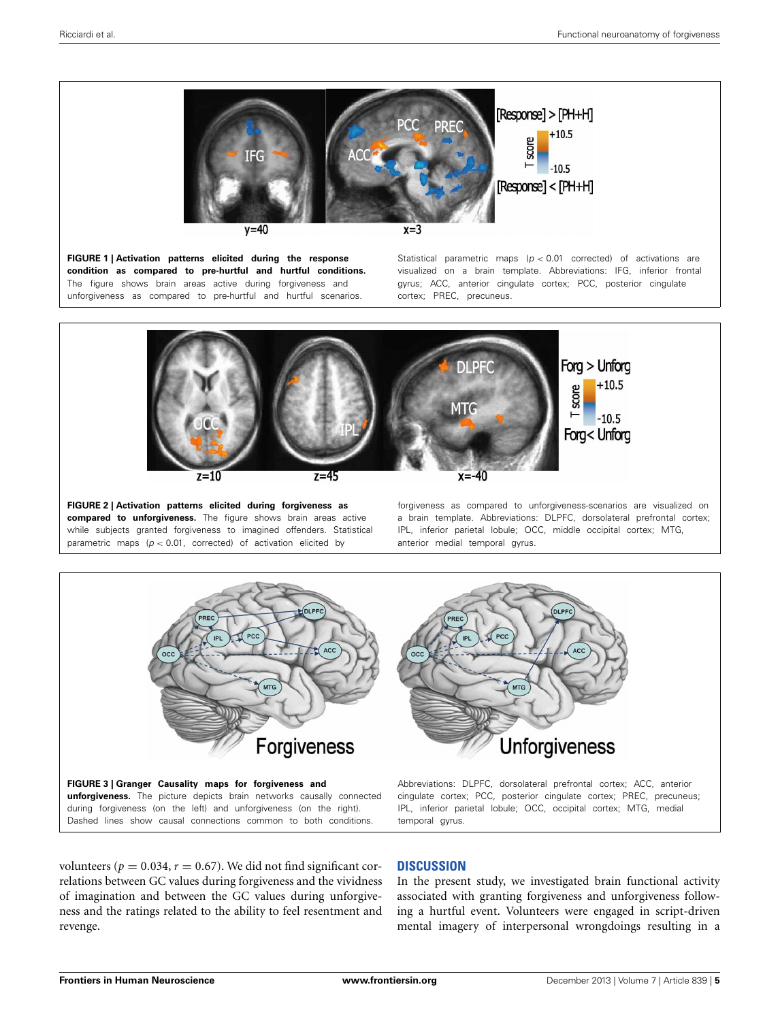

<span id="page-4-0"></span>**FIGURE 1 | Activation patterns elicited during the response condition as compared to pre-hurtful and hurtful conditions.** The figure shows brain areas active during forgiveness and unforgiveness as compared to pre-hurtful and hurtful scenarios.

Statistical parametric maps (*p <* 0*.*01 corrected) of activations are visualized on a brain template. Abbreviations: IFG, inferior frontal gyrus; ACC, anterior cingulate cortex; PCC, posterior cingulate cortex; PREC, precuneus.



<span id="page-4-1"></span>**FIGURE 2 | Activation patterns elicited during forgiveness as compared to unforgiveness.** The figure shows brain areas active while subjects granted forgiveness to imagined offenders. Statistical parametric maps  $(p < 0.01$ , corrected) of activation elicited by

forgiveness as compared to unforgiveness-scenarios are visualized on a brain template. Abbreviations: DLPFC, dorsolateral prefrontal cortex; IPL, inferior parietal lobule; OCC, middle occipital cortex; MTG, anterior medial temporal gyrus.



<span id="page-4-2"></span>**unforgiveness.** The picture depicts brain networks causally connected during forgiveness (on the left) and unforgiveness (on the right). Dashed lines show causal connections common to both conditions.

volunteers ( $p = 0.034$ ,  $r = 0.67$ ). We did not find significant correlations between GC values during forgiveness and the vividness of imagination and between the GC values during unforgiveness and the ratings related to the ability to feel resentment and revenge.

#### **DISCUSSION**

temporal gyrus.

In the present study, we investigated brain functional activity associated with granting forgiveness and unforgiveness following a hurtful event. Volunteers were engaged in script-driven mental imagery of interpersonal wrongdoings resulting in a

cingulate cortex; PCC, posterior cingulate cortex; PREC, precuneus; IPL, inferior parietal lobule; OCC, occipital cortex; MTG, medial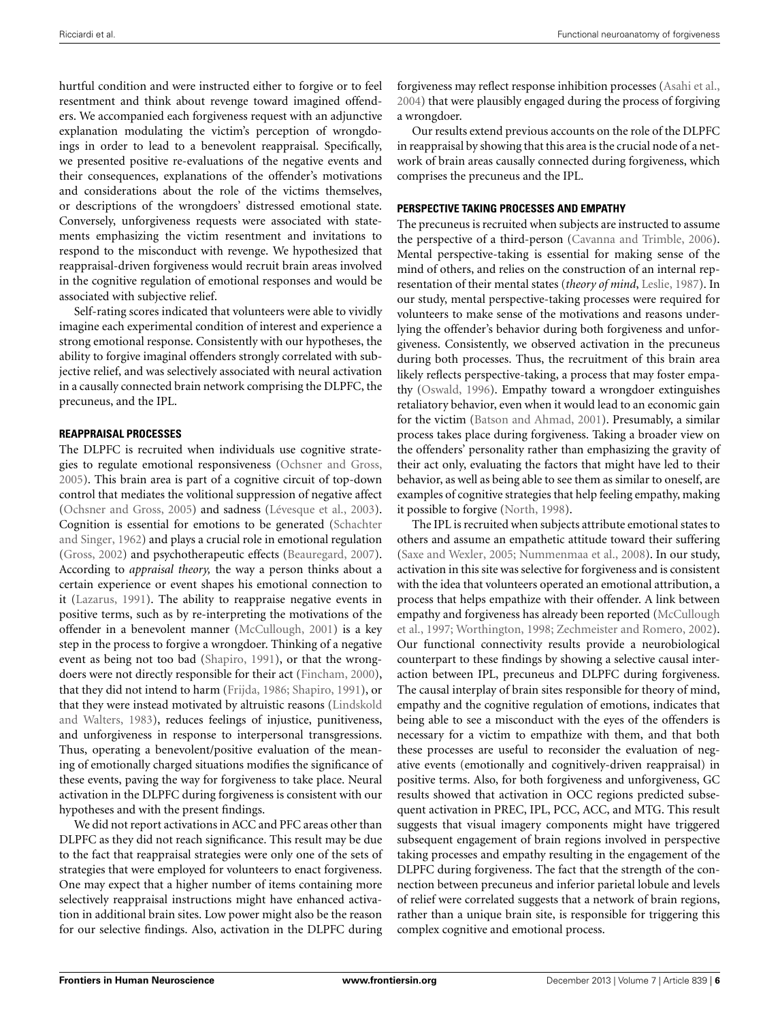hurtful condition and were instructed either to forgive or to feel resentment and think about revenge toward imagined offenders. We accompanied each forgiveness request with an adjunctive explanation modulating the victim's perception of wrongdoings in order to lead to a benevolent reappraisal. Specifically, we presented positive re-evaluations of the negative events and their consequences, explanations of the offender's motivations and considerations about the role of the victims themselves, or descriptions of the wrongdoers' distressed emotional state. Conversely, unforgiveness requests were associated with statements emphasizing the victim resentment and invitations to respond to the misconduct with revenge. We hypothesized that reappraisal-driven forgiveness would recruit brain areas involved in the cognitive regulation of emotional responses and would be associated with subjective relief.

Self-rating scores indicated that volunteers were able to vividly imagine each experimental condition of interest and experience a strong emotional response. Consistently with our hypotheses, the ability to forgive imaginal offenders strongly correlated with subjective relief, and was selectively associated with neural activation in a causally connected brain network comprising the DLPFC, the precuneus, and the IPL.

#### **REAPPRAISAL PROCESSES**

The DLPFC is recruited when individuals use cognitive strategies to regulate emotional responsiveness [\(Ochsner and Gross,](#page-7-16) [2005](#page-7-16)). This brain area is part of a cognitive circuit of top-down control that mediates the volitional suppression of negative affect [\(Ochsner and Gross, 2005\)](#page-7-16) and sadness [\(Lévesque et al.](#page-7-27), [2003](#page-7-27)). Cognition [is essential for emotions to be generated \(](#page-7-28)Schachter and Singer, [1962](#page-7-28)) and plays a crucial role in emotional regulation [\(Gross](#page-7-29), [2002\)](#page-7-29) and psychotherapeutic effects [\(Beauregard, 2007](#page-7-30)). According to *appraisal theory,* the way a person thinks about a certain experience or event shapes his emotional connection to it [\(Lazarus](#page-7-31), [1991](#page-7-31)). The ability to reappraise negative events in positive terms, such as by re-interpreting the motivations of the offender in a benevolent manner [\(McCullough](#page-7-0), [2001](#page-7-0)) is a key step in the process to forgive a wrongdoer. Thinking of a negative event as being not too bad [\(Shapiro](#page-7-22), [1991\)](#page-7-22), or that the wrongdoers were not directly responsible for their act [\(Fincham](#page-7-23), [2000\)](#page-7-23), that they did not intend to harm [\(Frijda](#page-7-32), [1986;](#page-7-32) [Shapiro, 1991](#page-7-22)), or that they we[re instead motivated by altruistic reasons \(](#page-7-33)Lindskold and Walters, [1983\)](#page-7-33), reduces feelings of injustice, punitiveness, and unforgiveness in response to interpersonal transgressions. Thus, operating a benevolent/positive evaluation of the meaning of emotionally charged situations modifies the significance of these events, paving the way for forgiveness to take place. Neural activation in the DLPFC during forgiveness is consistent with our hypotheses and with the present findings.

We did not report activations in ACC and PFC areas other than DLPFC as they did not reach significance. This result may be due to the fact that reappraisal strategies were only one of the sets of strategies that were employed for volunteers to enact forgiveness. One may expect that a higher number of items containing more selectively reappraisal instructions might have enhanced activation in additional brain sites. Low power might also be the reason for our selective findings. Also, activation in the DLPFC during

forgiveness may reflect response inhibition processes [\(Asahi et al.](#page-7-34), [2004](#page-7-34)) that were plausibly engaged during the process of forgiving a wrongdoer.

Our results extend previous accounts on the role of the DLPFC in reappraisal by showing that this area is the crucial node of a network of brain areas causally connected during forgiveness, which comprises the precuneus and the IPL.

## **PERSPECTIVE TAKING PROCESSES AND EMPATHY**

The precuneus is recruited when subjects are instructed to assume the perspective of a third-person [\(Cavanna and Trimble](#page-7-35), [2006\)](#page-7-35). Mental perspective-taking is essential for making sense of the mind of others, and relies on the construction of an internal representation of their mental states (*theory of mind*, [Leslie](#page-7-36), [1987\)](#page-7-36). In our study, mental perspective-taking processes were required for volunteers to make sense of the motivations and reasons underlying the offender's behavior during both forgiveness and unforgiveness. Consistently, we observed activation in the precuneus during both processes. Thus, the recruitment of this brain area likely reflects perspective-taking, a process that may foster empathy [\(Oswald](#page-7-37), [1996](#page-7-37)). Empathy toward a wrongdoer extinguishes retaliatory behavior, even when it would lead to an economic gain for the victim [\(Batson and Ahmad](#page-7-24), [2001](#page-7-24)). Presumably, a similar process takes place during forgiveness. Taking a broader view on the offenders' personality rather than emphasizing the gravity of their act only, evaluating the factors that might have led to their behavior, as well as being able to see them as similar to oneself, are examples of cognitive strategies that help feeling empathy, making it possible to forgive [\(North, 1998](#page-7-38)).

The IPL is recruited when subjects attribute emotional states to others and assume an empathetic attitude toward their suffering [\(Saxe and Wexler, 2005;](#page-7-39) [Nummenmaa et al., 2008\)](#page-7-40). In our study, activation in this site was selective for forgiveness and is consistent with the idea that volunteers operated an emotional attribution, a process that helps empathize with their offender. A link between emp[athy and forgiveness has already been reported \(](#page-7-41)McCullough et al., [1997;](#page-7-41) [Worthington, 1998;](#page-8-3) [Zechmeister and Romero](#page-8-4), [2002\)](#page-8-4). Our functional connectivity results provide a neurobiological counterpart to these findings by showing a selective causal interaction between IPL, precuneus and DLPFC during forgiveness. The causal interplay of brain sites responsible for theory of mind, empathy and the cognitive regulation of emotions, indicates that being able to see a misconduct with the eyes of the offenders is necessary for a victim to empathize with them, and that both these processes are useful to reconsider the evaluation of negative events (emotionally and cognitively-driven reappraisal) in positive terms. Also, for both forgiveness and unforgiveness, GC results showed that activation in OCC regions predicted subsequent activation in PREC, IPL, PCC, ACC, and MTG. This result suggests that visual imagery components might have triggered subsequent engagement of brain regions involved in perspective taking processes and empathy resulting in the engagement of the DLPFC during forgiveness. The fact that the strength of the connection between precuneus and inferior parietal lobule and levels of relief were correlated suggests that a network of brain regions, rather than a unique brain site, is responsible for triggering this complex cognitive and emotional process.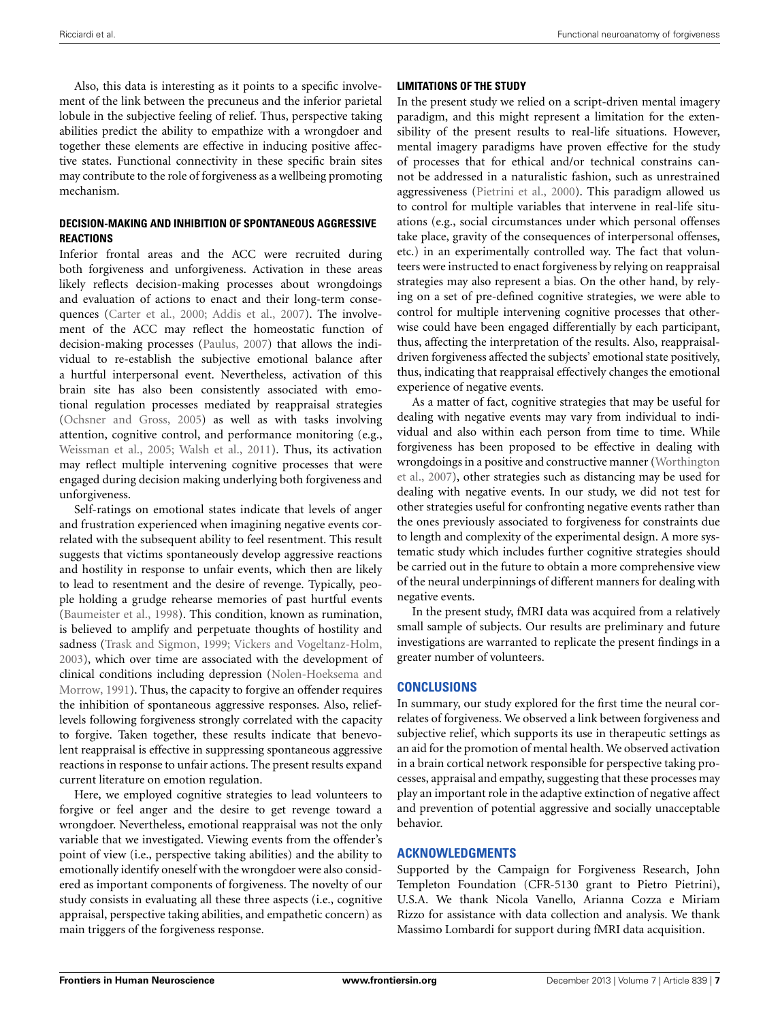Also, this data is interesting as it points to a specific involvement of the link between the precuneus and the inferior parietal lobule in the subjective feeling of relief. Thus, perspective taking abilities predict the ability to empathize with a wrongdoer and together these elements are effective in inducing positive affective states. Functional connectivity in these specific brain sites may contribute to the role of forgiveness as a wellbeing promoting mechanism.

## **DECISION-MAKING AND INHIBITION OF SPONTANEOUS AGGRESSIVE REACTIONS**

Inferior frontal areas and the ACC were recruited during both forgiveness and unforgiveness. Activation in these areas likely reflects decision-making processes about wrongdoings and evaluation of actions to enact and their long-term consequences [\(Carter et al.](#page-7-42), [2000;](#page-7-42) [Addis et al., 2007\)](#page-7-43). The involvement of the ACC may reflect the homeostatic function of decision-making processes [\(Paulus](#page-7-44), [2007](#page-7-44)) that allows the individual to re-establish the subjective emotional balance after a hurtful interpersonal event. Nevertheless, activation of this brain site has also been consistently associated with emotional regulation processes mediated by reappraisal strategies [\(Ochsner and Gross, 2005\)](#page-7-16) as well as with tasks involving attention, cognitive control, and performance monitoring (e.g., [Weissman et al., 2005;](#page-8-5) [Walsh et al., 2011](#page-8-6)). Thus, its activation may reflect multiple intervening cognitive processes that were engaged during decision making underlying both forgiveness and unforgiveness.

Self-ratings on emotional states indicate that levels of anger and frustration experienced when imagining negative events correlated with the subsequent ability to feel resentment. This result suggests that victims spontaneously develop aggressive reactions and hostility in response to unfair events, which then are likely to lead to resentment and the desire of revenge. Typically, people holding a grudge rehearse memories of past hurtful events [\(Baumeister et al., 1998](#page-7-45)). This condition, known as rumination, is believed to amplify and perpetuate thoughts of hostility and sadness [\(Trask and Sigmon](#page-8-7), [1999;](#page-8-7) [Vickers and Vogeltanz-Holm,](#page-8-8) [2003](#page-8-8)), which over time are associated with the development of clinical [conditions](#page-7-9) [including](#page-7-9) [depression](#page-7-9) [\(](#page-7-9)Nolen-Hoeksema and Morrow, [1991](#page-7-9)). Thus, the capacity to forgive an offender requires the inhibition of spontaneous aggressive responses. Also, relieflevels following forgiveness strongly correlated with the capacity to forgive. Taken together, these results indicate that benevolent reappraisal is effective in suppressing spontaneous aggressive reactions in response to unfair actions. The present results expand current literature on emotion regulation.

Here, we employed cognitive strategies to lead volunteers to forgive or feel anger and the desire to get revenge toward a wrongdoer. Nevertheless, emotional reappraisal was not the only variable that we investigated. Viewing events from the offender's point of view (i.e., perspective taking abilities) and the ability to emotionally identify oneself with the wrongdoer were also considered as important components of forgiveness. The novelty of our study consists in evaluating all these three aspects (i.e., cognitive appraisal, perspective taking abilities, and empathetic concern) as main triggers of the forgiveness response.

## **LIMITATIONS OF THE STUDY**

In the present study we relied on a script-driven mental imagery paradigm, and this might represent a limitation for the extensibility of the present results to real-life situations. However, mental imagery paradigms have proven effective for the study of processes that for ethical and/or technical constrains cannot be addressed in a naturalistic fashion, such as unrestrained aggressiveness [\(Pietrini et al.](#page-7-17), [2000](#page-7-17)). This paradigm allowed us to control for multiple variables that intervene in real-life situations (e.g., social circumstances under which personal offenses take place, gravity of the consequences of interpersonal offenses, etc.) in an experimentally controlled way. The fact that volunteers were instructed to enact forgiveness by relying on reappraisal strategies may also represent a bias. On the other hand, by relying on a set of pre-defined cognitive strategies, we were able to control for multiple intervening cognitive processes that otherwise could have been engaged differentially by each participant, thus, affecting the interpretation of the results. Also, reappraisaldriven forgiveness affected the subjects' emotional state positively, thus, indicating that reappraisal effectively changes the emotional experience of negative events.

As a matter of fact, cognitive strategies that may be useful for dealing with negative events may vary from individual to individual and also within each person from time to time. While forgiveness has been proposed to be effective in dealing with wro[ngdoings in a positive and constructive manner \(](#page-8-0)Worthington et al., [2007](#page-8-0)), other strategies such as distancing may be used for dealing with negative events. In our study, we did not test for other strategies useful for confronting negative events rather than the ones previously associated to forgiveness for constraints due to length and complexity of the experimental design. A more systematic study which includes further cognitive strategies should be carried out in the future to obtain a more comprehensive view of the neural underpinnings of different manners for dealing with negative events.

In the present study, fMRI data was acquired from a relatively small sample of subjects. Our results are preliminary and future investigations are warranted to replicate the present findings in a greater number of volunteers.

## **CONCLUSIONS**

In summary, our study explored for the first time the neural correlates of forgiveness. We observed a link between forgiveness and subjective relief, which supports its use in therapeutic settings as an aid for the promotion of mental health. We observed activation in a brain cortical network responsible for perspective taking processes, appraisal and empathy, suggesting that these processes may play an important role in the adaptive extinction of negative affect and prevention of potential aggressive and socially unacceptable behavior.

## **ACKNOWLEDGMENTS**

Supported by the Campaign for Forgiveness Research, John Templeton Foundation (CFR-5130 grant to Pietro Pietrini), U.S.A. We thank Nicola Vanello, Arianna Cozza e Miriam Rizzo for assistance with data collection and analysis. We thank Massimo Lombardi for support during fMRI data acquisition.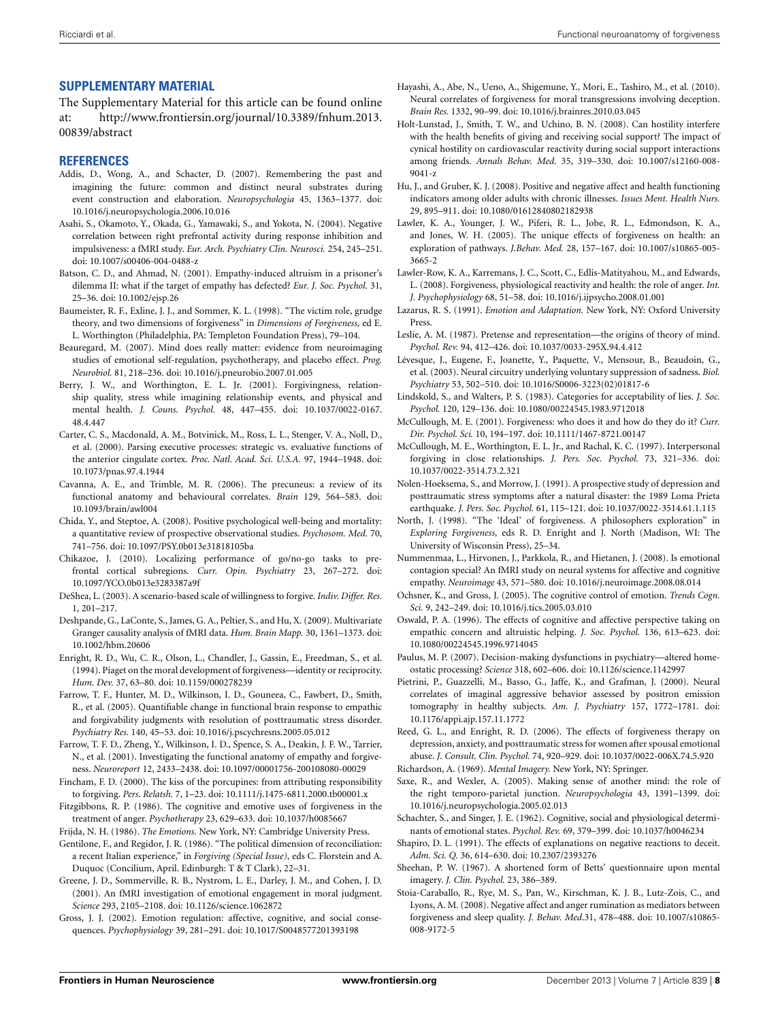## **SUPPLEMENTARY MATERIAL**

The Supplementary Material for this article can be found online at: [http://www.frontiersin.org/journal/10.3389/fnhum.2013.](http://www.frontiersin.org/journal/10.3389/fnhum.2013.00839/abstract) [00839/abstract](http://www.frontiersin.org/journal/10.3389/fnhum.2013.00839/abstract)

## **REFERENCES**

- <span id="page-7-43"></span>Addis, D., Wong, A., and Schacter, D. (2007). Remembering the past and imagining the future: common and distinct neural substrates during event construction and elaboration. *Neuropsychologia* 45, 1363–1377. doi: 10.1016/j.neuropsychologia.2006.10.016
- <span id="page-7-34"></span>Asahi, S., Okamoto, Y., Okada, G., Yamawaki, S., and Yokota, N. (2004). Negative correlation between right prefrontal activity during response inhibition and impulsiveness: a fMRI study. *Eur. Arch. Psychiatry Clin. Neurosci.* 254, 245–251. doi: 10.1007/s00406-004-0488-z
- <span id="page-7-24"></span>Batson, C. D., and Ahmad, N. (2001). Empathy-induced altruism in a prisoner's dilemma II: what if the target of empathy has defected? *Eur. J. Soc. Psychol.* 31, 25–36. doi: 10.1002/ejsp.26
- <span id="page-7-45"></span>Baumeister, R. F., Exline, J. J., and Sommer, K. L. (1998). "The victim role, grudge theory, and two dimensions of forgiveness" in *Dimensions of Forgiveness*, ed E. L. Worthington (Philadelphia, PA: Templeton Foundation Press), 79–104.
- <span id="page-7-30"></span>Beauregard, M. (2007). Mind does really matter: evidence from neuroimaging studies of emotional self-regulation, psychotherapy, and placebo effect. *Prog. Neurobiol.* 81, 218–236. doi: 10.1016/j.pneurobio.2007.01.005
- <span id="page-7-8"></span>Berry, J. W., and Worthington, E. L. Jr. (2001). Forgivingness, relationship quality, stress while imagining relationship events, and physical and mental health. *J. Couns. Psychol.* 48, 447–455. doi: 10.1037/0022-0167. 48.4.447
- <span id="page-7-42"></span>Carter, C. S., Macdonald, A. M., Botvinick, M., Ross, L. L., Stenger, V. A., Noll, D., et al. (2000). Parsing executive processes: strategic vs. evaluative functions of the anterior cingulate cortex. *Proc. Natl. Acad. Sci. U.S.A.* 97, 1944–1948. doi: 10.1073/pnas.97.4.1944
- <span id="page-7-35"></span>Cavanna, A. E., and Trimble, M. R. (2006). The precuneus: a review of its functional anatomy and behavioural correlates. *Brain* 129, 564–583. doi: 10.1093/brain/awl004
- <span id="page-7-11"></span>Chida, Y., and Steptoe, A. (2008). Positive psychological well-being and mortality: a quantitative review of prospective observational studies. *Psychosom. Med.* 70, 741–756. doi: 10.1097/PSY.0b013e31818105ba
- <span id="page-7-18"></span>Chikazoe, J. (2010). Localizing performance of go/no-go tasks to prefrontal cortical subregions. *Curr. Opin. Psychiatry* 23, 267–272. doi: 10.1097/YCO.0b013e3283387a9f
- <span id="page-7-21"></span>DeShea, L. (2003). A scenario-based scale of willingness to forgive. *Indiv. Differ. Res.* 1, 201–217.
- <span id="page-7-26"></span>Deshpande, G., LaConte, S., James, G. A., Peltier, S., and Hu, X. (2009). Multivariate Granger causality analysis of fMRI data. *Hum. Brain Mapp.* 30, 1361–1373. doi: 10.1002/hbm.20606
- <span id="page-7-4"></span>Enright, R. D., Wu, C. R., Olson, L., Chandler, J., Gassin, E., Freedman, S., et al. (1994). Piaget on the moral development of forgiveness—identity or reciprocity. *Hum. Dev.* 37, 63–80. doi: 10.1159/000278239
- <span id="page-7-14"></span>Farrow, T. F., Hunter, M. D., Wilkinson, I. D., Gouneea, C., Fawbert, D., Smith, R., et al. (2005). Quantifiable change in functional brain response to empathic and forgivability judgments with resolution of posttraumatic stress disorder. *Psychiatry Res.* 140, 45–53. doi: 10.1016/j.pscychresns.2005.05.012
- <span id="page-7-13"></span>Farrow, T. F. D., Zheng, Y., Wilkinson, I. D., Spence, S. A., Deakin, J. F. W., Tarrier, N., et al. (2001). Investigating the functional anatomy of empathy and forgiveness. *Neuroreport* 12, 2433–2438. doi: 10.1097/00001756-200108080-00029
- <span id="page-7-23"></span>Fincham, F. D. (2000). The kiss of the porcupines: from attributing responsibility to forgiving. *Pers. Relatsh.* 7, 1–23. doi: 10.1111/j.1475-6811.2000.tb00001.x
- <span id="page-7-1"></span>Fitzgibbons, R. P. (1986). The cognitive and emotive uses of forgiveness in the treatment of anger. *Psychotherapy* 23, 629–633. doi: 10.1037/h0085667
- <span id="page-7-32"></span>Frijda, N. H. (1986). *The Emotions.* New York, NY: Cambridge University Press.
- <span id="page-7-3"></span>Gentilone, F., and Regidor, J. R. (1986). "The political dimension of reconciliation: a recent Italian experience," in *Forgiving (Special Issue)*, eds C. Florstein and A. Duquoc (Concilium, April. Edinburgh: T & T Clark), 22–31.
- <span id="page-7-25"></span>Greene, J. D., Sommerville, R. B., Nystrom, L. E., Darley, J. M., and Cohen, J. D. (2001). An fMRI investigation of emotional engagement in moral judgment. *Science* 293, 2105–2108. doi: 10.1126/science.1062872
- <span id="page-7-29"></span>Gross, J. J. (2002). Emotion regulation: affective, cognitive, and social consequences. *Psychophysiology* 39, 281–291. doi: 10.1017/S0048577201393198
- <span id="page-7-15"></span>Hayashi, A., Abe, N., Ueno, A., Shigemune, Y., Mori, E., Tashiro, M., et al. (2010). Neural correlates of forgiveness for moral transgressions involving deception. *Brain Res.* 1332, 90–99. doi: 10.1016/j.brainres.2010.03.045
- <span id="page-7-6"></span>Holt-Lunstad, J., Smith, T. W., and Uchino, B. N. (2008). Can hostility interfere with the health benefits of giving and receiving social support? The impact of cynical hostility on cardiovascular reactivity during social support interactions among friends. *Annals Behav. Med.* 35, 319–330. doi: 10.1007/s12160-008- 9041-z
- <span id="page-7-5"></span>Hu, J., and Gruber, K. J. (2008). Positive and negative affect and health functioning indicators among older adults with chronic illnesses. *Issues Ment. Health Nurs.* 29, 895–911. doi: 10.1080/01612840802182938
- <span id="page-7-10"></span>Lawler, K. A., Younger, J. W., Piferi, R. L., Jobe, R. L., Edmondson, K. A., and Jones, W. H. (2005). The unique effects of forgiveness on health: an exploration of pathways. *J.Behav. Med.* 28, 157–167. doi: 10.1007/s10865-005- 3665-2
- <span id="page-7-12"></span>Lawler-Row, K. A., Karremans, J. C., Scott, C., Edlis-Matityahou, M., and Edwards, L. (2008). Forgiveness, physiological reactivity and health: the role of anger. *Int. J. Psychophysiology* 68, 51–58. doi: 10.1016/j.ijpsycho.2008.01.001
- <span id="page-7-31"></span>Lazarus, R. S. (1991). *Emotion and Adaptation.* New York, NY: Oxford University Press.
- <span id="page-7-36"></span>Leslie, A. M. (1987). Pretense and representation—the origins of theory of mind. *Psychol. Rev.* 94, 412–426. doi: 10.1037/0033-295X.94.4.412
- <span id="page-7-27"></span>Lévesque, J., Eugene, F., Joanette, Y., Paquette, V., Mensour, B., Beaudoin, G., et al. (2003). Neural circuitry underlying voluntary suppression of sadness. *Biol. Psychiatry* 53, 502–510. doi: 10.1016/S0006-3223(02)01817-6
- <span id="page-7-33"></span>Lindskold, S., and Walters, P. S. (1983). Categories for acceptability of lies. *J. Soc. Psychol.* 120, 129–136. doi: 10.1080/00224545.1983.9712018
- <span id="page-7-0"></span>McCullough, M. E. (2001). Forgiveness: who does it and how do they do it? *Curr. Dir. Psychol. Sci.* 10, 194–197. doi: 10.1111/1467-8721.00147
- <span id="page-7-41"></span>McCullough, M. E., Worthington, E. L. Jr., and Rachal, K. C. (1997). Interpersonal forgiving in close relationships. *J. Pers. Soc. Psychol.* 73, 321–336. doi: 10.1037/0022-3514.73.2.321
- <span id="page-7-9"></span>Nolen-Hoeksema, S., and Morrow, J. (1991). A prospective study of depression and posttraumatic stress symptoms after a natural disaster: the 1989 Loma Prieta earthquake. *J. Pers. Soc. Psychol.* 61, 115–121. doi: 10.1037/0022-3514.61.1.115
- <span id="page-7-38"></span>North, J. (1998). "The 'Ideal' of forgiveness. A philosophers exploration" in *Exploring Forgiveness*, eds R. D. Enright and J. North (Madison, WI: The University of Wisconsin Press), 25–34.
- <span id="page-7-40"></span>Nummenmaa, L., Hirvonen, J., Parkkola, R., and Hietanen, J. (2008). Is emotional contagion special? An fMRI study on neural systems for affective and cognitive empathy. *Neuroimage* 43, 571–580. doi: 10.1016/j.neuroimage.2008.08.014
- <span id="page-7-16"></span>Ochsner, K., and Gross, J. (2005). The cognitive control of emotion. *Trends Cogn. Sci.* 9, 242–249. doi: 10.1016/j.tics.2005.03.010
- <span id="page-7-37"></span>Oswald, P. A. (1996). The effects of cognitive and affective perspective taking on empathic concern and altruistic helping. *J. Soc. Psychol.* 136, 613–623. doi: 10.1080/00224545.1996.9714045
- <span id="page-7-44"></span>Paulus, M. P. (2007). Decision-making dysfunctions in psychiatry—altered homeostatic processing? *Science* 318, 602–606. doi: 10.1126/science.1142997
- <span id="page-7-17"></span>Pietrini, P., Guazzelli, M., Basso, G., Jaffe, K., and Grafman, J. (2000). Neural correlates of imaginal aggressive behavior assessed by positron emission tomography in healthy subjects. *Am. J. Psychiatry* 157, 1772–1781. doi: 10.1176/appi.ajp.157.11.1772
- <span id="page-7-2"></span>Reed, G. L., and Enright, R. D. (2006). The effects of forgiveness therapy on depression, anxiety, and posttraumatic stress for women after spousal emotional abuse. *J. Consult. Clin. Psychol.* 74, 920–929. doi: 10.1037/0022-006X.74.5.920
- <span id="page-7-19"></span>Richardson, A. (1969). *Mental Imagery.* New York, NY: Springer.
- <span id="page-7-39"></span>Saxe, R., and Wexler, A. (2005). Making sense of another mind: the role of the right temporo-parietal junction. *Neuropsychologia* 43, 1391–1399. doi: 10.1016/j.neuropsychologia.2005.02.013
- <span id="page-7-28"></span>Schachter, S., and Singer, J. E. (1962). Cognitive, social and physiological determinants of emotional states. *Psychol. Rev.* 69, 379–399. doi: 10.1037/h0046234
- <span id="page-7-22"></span>Shapiro, D. L. (1991). The effects of explanations on negative reactions to deceit. *Adm. Sci. Q.* 36, 614–630. doi: 10.2307/2393276
- <span id="page-7-20"></span>Sheehan, P. W. (1967). A shortened form of Betts' questionnaire upon mental imagery. *J. Clin. Psychol.* 23, 386–389.
- <span id="page-7-7"></span>Stoia-Caraballo, R., Rye, M. S., Pan, W., Kirschman, K. J. B., Lutz-Zois, C., and Lyons, A. M. (2008). Negative affect and anger rumination as mediators between forgiveness and sleep quality. *J. Behav. Med*.31, 478–488. doi: 10.1007/s10865- 008-9172-5